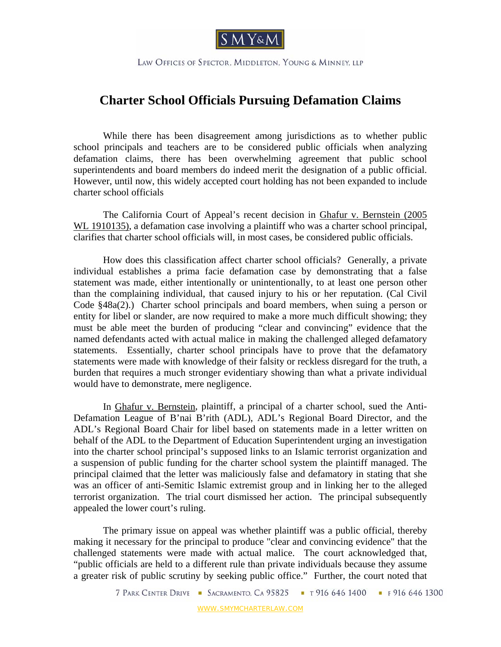

LAW OFFICES OF SPECTOR, MIDDLETON, YOUNG & MINNEY, LLP

## **Charter School Officials Pursuing Defamation Claims**

 While there has been disagreement among jurisdictions as to whether public school principals and teachers are to be considered public officials when analyzing defamation claims, there has been overwhelming agreement that public school superintendents and board members do indeed merit the designation of a public official. However, until now, this widely accepted court holding has not been expanded to include charter school officials

 The California Court of Appeal's recent decision in Ghafur v. Bernstein (2005 WL 1910135), a defamation case involving a plaintiff who was a charter school principal, clarifies that charter school officials will, in most cases, be considered public officials.

How does this classification affect charter school officials? Generally, a private individual establishes a prima facie defamation case by demonstrating that a false statement was made, either intentionally or unintentionally, to at least one person other than the complaining individual, that caused injury to his or her reputation. (Cal Civil Code §48a(2).) Charter school principals and board members, when suing a person or entity for libel or slander, are now required to make a more much difficult showing; they must be able meet the burden of producing "clear and convincing" evidence that the named defendants acted with actual malice in making the challenged alleged defamatory statements. Essentially, charter school principals have to prove that the defamatory statements were made with knowledge of their falsity or reckless disregard for the truth, a burden that requires a much stronger evidentiary showing than what a private individual would have to demonstrate, mere negligence.

In Ghafur v. Bernstein, plaintiff, a principal of a charter school, sued the Anti-Defamation League of B'nai B'rith (ADL), ADL's Regional Board Director, and the ADL's Regional Board Chair for libel based on statements made in a letter written on behalf of the ADL to the Department of Education Superintendent urging an investigation into the charter school principal's supposed links to an Islamic terrorist organization and a suspension of public funding for the charter school system the plaintiff managed. The principal claimed that the letter was maliciously false and defamatory in stating that she was an officer of anti-Semitic Islamic extremist group and in linking her to the alleged terrorist organization. The trial court dismissed her action. The principal subsequently appealed the lower court's ruling.

The primary issue on appeal was whether plaintiff was a public official, thereby making it necessary for the principal to produce "clear and convincing evidence" that the challenged statements were made with actual malice. The court acknowledged that, "public officials are held to a different rule than private individuals because they assume a greater risk of public scrutiny by seeking public office." Further, the court noted that